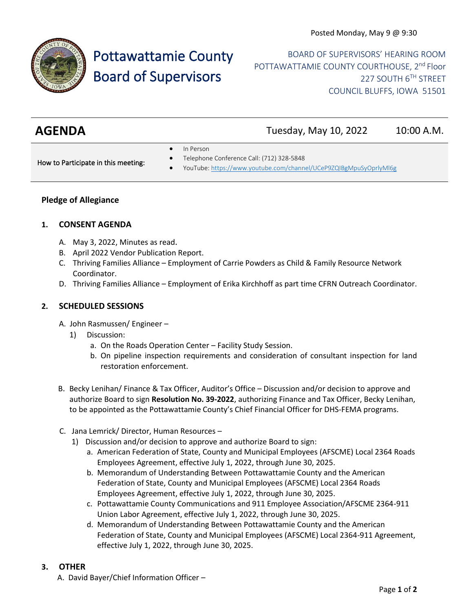

# Pottawattamie County Board of Supervisors

BOARD OF SUPERVISORS' HEARING ROOM POTTAWATTAMIE COUNTY COURTHOUSE, 2<sup>nd</sup> Floor 227 SOUTH 6TH STREET COUNCIL BLUFFS, IOWA 51501

## **AGENDA** Tuesday, May 10, 2022 10:00 A.M.

In Person

How to Participate in this meeting:

- Telephone Conference Call: (712) 328-5848
- YouTube[: https://www.youtube.com/channel/UCeP9ZQIBgMpuSyOprlyMl6g](https://www.youtube.com/channel/UCeP9ZQIBgMpuSyOprlyMl6g)

### **Pledge of Allegiance**

#### **1. CONSENT AGENDA**

- A. May 3, 2022, Minutes as read.
- B. April 2022 Vendor Publication Report.
- C. Thriving Families Alliance Employment of Carrie Powders as Child & Family Resource Network Coordinator.
- D. Thriving Families Alliance Employment of Erika Kirchhoff as part time CFRN Outreach Coordinator.

#### **2. SCHEDULED SESSIONS**

- A. John Rasmussen/ Engineer
	- 1) Discussion:
		- a. On the Roads Operation Center Facility Study Session.
		- b. On pipeline inspection requirements and consideration of consultant inspection for land restoration enforcement.
- B. Becky Lenihan/ Finance & Tax Officer, Auditor's Office Discussion and/or decision to approve and authorize Board to sign **Resolution No. 39-2022**, authorizing Finance and Tax Officer, Becky Lenihan, to be appointed as the Pottawattamie County's Chief Financial Officer for DHS-FEMA programs.
- C. Jana Lemrick/ Director, Human Resources
	- 1) Discussion and/or decision to approve and authorize Board to sign:
		- a. American Federation of State, County and Municipal Employees (AFSCME) Local 2364 Roads Employees Agreement, effective July 1, 2022, through June 30, 2025.
		- b. Memorandum of Understanding Between Pottawattamie County and the American Federation of State, County and Municipal Employees (AFSCME) Local 2364 Roads Employees Agreement, effective July 1, 2022, through June 30, 2025.
		- c. Pottawattamie County Communications and 911 Employee Association/AFSCME 2364-911 Union Labor Agreement, effective July 1, 2022, through June 30, 2025.
		- d. Memorandum of Understanding Between Pottawattamie County and the American Federation of State, County and Municipal Employees (AFSCME) Local 2364-911 Agreement, effective July 1, 2022, through June 30, 2025.

#### **3. OTHER**

A. David Bayer/Chief Information Officer –